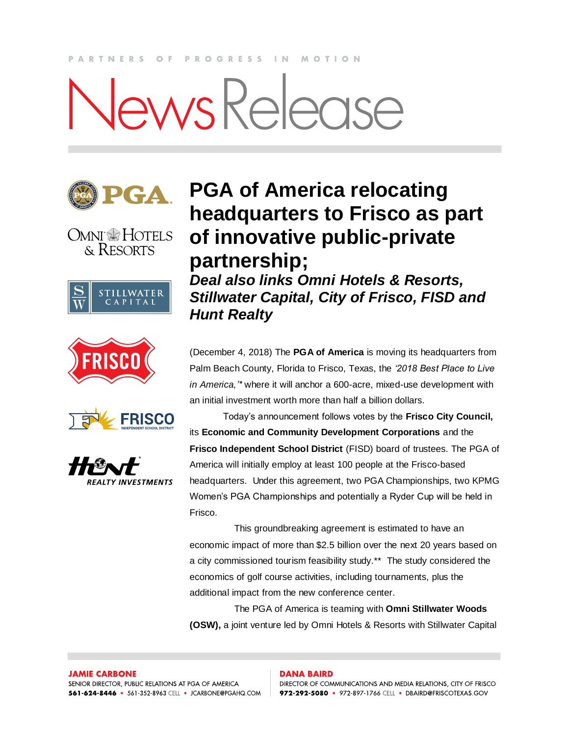#### **PARTNERS**  $O$   $F$ PROGRESS IN MOTION

# ewsRelease













### **PGA of America relocating headquarters to Frisco as part of innovative public-private partnership;**

*Deal also links Omni Hotels & Resorts, Stillwater Capital, City of Frisco, FISD and Hunt Realty* 

(December 4, 2018) The **PGA of America** is moving its headquarters from Palm Beach County, Florida to Frisco, Texas, the *'2018 Best Place to Live in America,'\** where it will anchor a 600-acre, mixed-use development with an initial investment worth more than half a billion dollars.

Today's announcement follows votes by the **Frisco City Council,**  its **Economic and Community Development Corporations** and the **Frisco Independent School District** (FISD) board of trustees. The PGA of America will initially employ at least 100 people at the Frisco-based headquarters. Under this agreement, two PGA Championships, two KPMG Women's PGA Championships and potentially a Ryder Cup will be held in Frisco.

This groundbreaking agreement is estimated to have an economic impact of more than \$2.5 billion over the next 20 years based on a city commissioned tourism feasibility study.\*\* The study considered the economics of golf course activities, including tournaments, plus the additional impact from the new conference center.

The PGA of America is teaming with **Omni Stillwater Woods (OSW),** a joint venture led by Omni Hotels & Resorts with Stillwater Capital

#### **DANA BAIRD**

DIRECTOR OF COMMUNICATIONS AND MEDIA RELATIONS, CITY OF FRISCO 972-292-5080 · 972-897-1766 CELL · DBAIRD@FRISCOTEXAS.GOV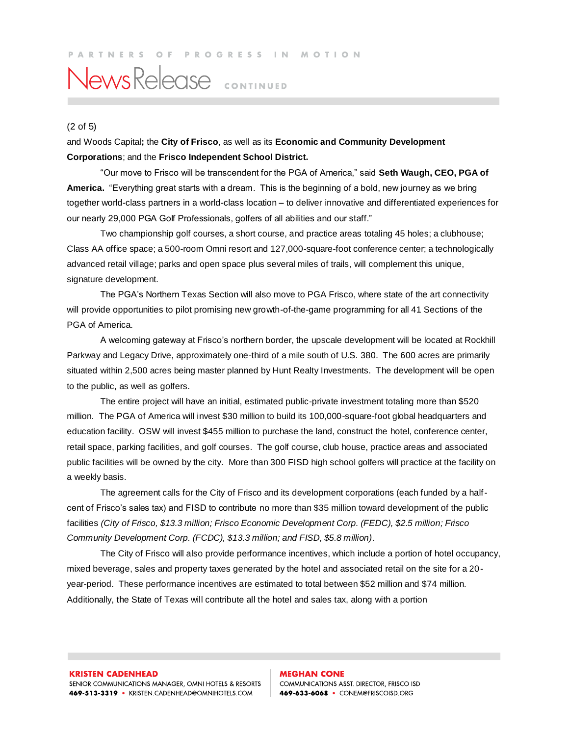## NewsRelease CONTINUED

#### (2 of 5)

and Woods Capital**;** the **City of Frisco**, as well as its **Economic and Community Development Corporations**; and the **Frisco Independent School District.**

"Our move to Frisco will be transcendent for the PGA of America," said **Seth Waugh, CEO, PGA of America.** "Everything great starts with a dream. This is the beginning of a bold, new journey as we bring together world-class partners in a world-class location – to deliver innovative and differentiated experiences for our nearly 29,000 PGA Golf Professionals, golfers of all abilities and our staff."

Two championship golf courses, a short course, and practice areas totaling 45 holes; a clubhouse; Class AA office space; a 500-room Omni resort and 127,000-square-foot conference center; a technologically advanced retail village; parks and open space plus several miles of trails, will complement this unique, signature development.

The PGA's Northern Texas Section will also move to PGA Frisco, where state of the art connectivity will provide opportunities to pilot promising new growth-of-the-game programming for all 41 Sections of the PGA of America.

A welcoming gateway at Frisco's northern border, the upscale development will be located at Rockhill Parkway and Legacy Drive, approximately one-third of a mile south of U.S. 380. The 600 acres are primarily situated within 2,500 acres being master planned by Hunt Realty Investments. The development will be open to the public, as well as golfers.

The entire project will have an initial, estimated public-private investment totaling more than \$520 million. The PGA of America will invest \$30 million to build its 100,000-square-foot global headquarters and education facility. OSW will invest \$455 million to purchase the land, construct the hotel, conference center, retail space, parking facilities, and golf courses. The golf course, club house, practice areas and associated public facilities will be owned by the city. More than 300 FISD high school golfers will practice at the facility on a weekly basis.

The agreement calls for the City of Frisco and its development corporations (each funded by a halfcent of Frisco's sales tax) and FISD to contribute no more than \$35 million toward development of the public facilities *(City of Frisco, \$13.3 million; Frisco Economic Development Corp. (FEDC), \$2.5 million; Frisco Community Development Corp. (FCDC), \$13.3 million; and FISD, \$5.8 million)*.

The City of Frisco will also provide performance incentives, which include a portion of hotel occupancy, mixed beverage, sales and property taxes generated by the hotel and associated retail on the site for a 20 year-period. These performance incentives are estimated to total between \$52 million and \$74 million. Additionally, the State of Texas will contribute all the hotel and sales tax, along with a portion

#### **KRISTEN CADENHEAD**

SENIOR COMMUNICATIONS MANAGER, OMNI HOTELS & RESORTS 469-513-3319 • KRISTEN.CADENHEAD@OMNIHOTELS.COM

### **MEGHAN CONE** COMMUNICATIONS ASST. DIRECTOR, FRISCO ISD

469-633-6068 • CONEM@FRISCOISD.ORG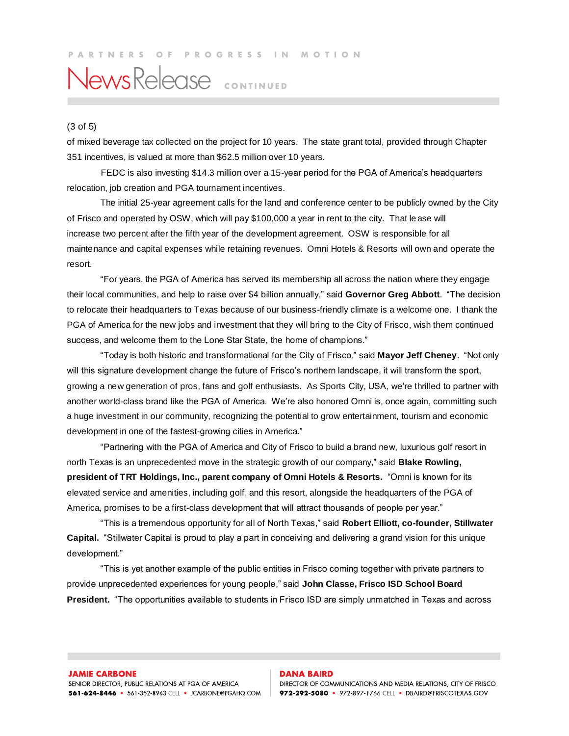## News Release CONTINUED

#### (3 of 5)

of mixed beverage tax collected on the project for 10 years. The state grant total, provided through Chapter 351 incentives, is valued at more than \$62.5 million over 10 years.

 FEDC is also investing \$14.3 million over a 15-year period for the PGA of America's headquarters relocation, job creation and PGA tournament incentives.

The initial 25-year agreement calls for the land and conference center to be publicly owned by the City of Frisco and operated by OSW, which will pay \$100,000 a year in rent to the city. That le ase will increase two percent after the fifth year of the development agreement. OSW is responsible for all maintenance and capital expenses while retaining revenues. Omni Hotels & Resorts will own and operate the resort.

"For years, the PGA of America has served its membership all across the nation where they engage their local communities, and help to raise over \$4 billion annually," said **Governor Greg Abbott**. "The decision to relocate their headquarters to Texas because of our business-friendly climate is a welcome one. I thank the PGA of America for the new jobs and investment that they will bring to the City of Frisco, wish them continued success, and welcome them to the Lone Star State, the home of champions."

"Today is both historic and transformational for the City of Frisco," said **Mayor Jeff Cheney**. "Not only will this signature development change the future of Frisco's northern landscape, it will transform the sport, growing a new generation of pros, fans and golf enthusiasts. As Sports City, USA, we're thrilled to partner with another world-class brand like the PGA of America. We're also honored Omni is, once again, committing such a huge investment in our community, recognizing the potential to grow entertainment, tourism and economic development in one of the fastest-growing cities in America."

"Partnering with the PGA of America and City of Frisco to build a brand new, luxurious golf resort in north Texas is an unprecedented move in the strategic growth of our company," said **Blake Rowling, president of TRT Holdings, Inc., parent company of Omni Hotels & Resorts.** "Omni is known for its elevated service and amenities, including golf, and this resort, alongside the headquarters of the PGA of America, promises to be a first-class development that will attract thousands of people per year."

"This is a tremendous opportunity for all of North Texas," said **Robert Elliott, co-founder, Stillwater Capital.** "Stillwater Capital is proud to play a part in conceiving and delivering a grand vision for this unique development."

"This is yet another example of the public entities in Frisco coming together with private partners to provide unprecedented experiences for young people," said **John Classe, Frisco ISD School Board President.** "The opportunities available to students in Frisco ISD are simply unmatched in Texas and across

#### **DANA BAIRD**

DIRECTOR OF COMMUNICATIONS AND MEDIA RELATIONS, CITY OF FRISCO 972-292-5080 · 972-897-1766 CELL · DBAIRD@FRISCOTEXAS.GOV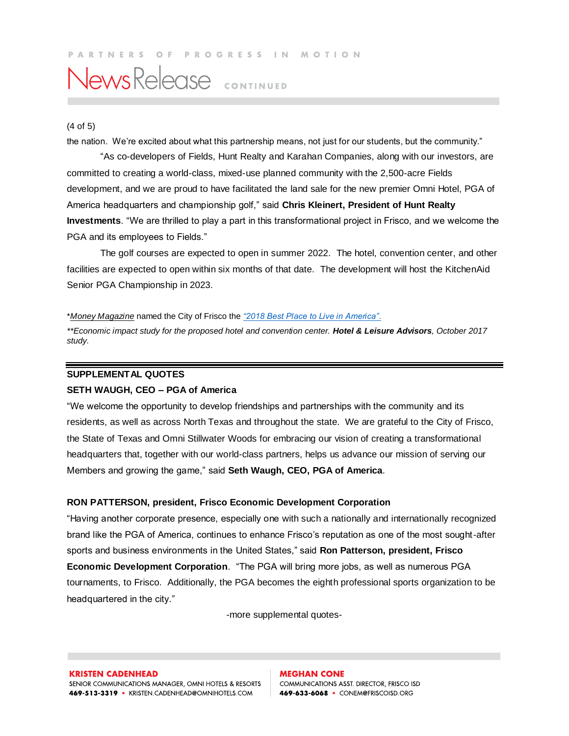#### PARTNERS OF PROGRESS IN MOTION

### News Release CONTINUED

#### (4 of 5)

the nation. We're excited about what this partnership means, not just for our students, but the community."

"As co-developers of Fields, Hunt Realty and Karahan Companies, along with our investors, are committed to creating a world-class, mixed-use planned community with the 2,500-acre Fields development, and we are proud to have facilitated the land sale for the new premier Omni Hotel, PGA of America headquarters and championship golf," said **Chris Kleinert, President of Hunt Realty Investments**. "We are thrilled to play a part in this transformational project in Frisco, and we welcome the PGA and its employees to Fields."

The golf courses are expected to open in summer 2022. The hotel, convention center, and other facilities are expected to open within six months of that date. The development will host the KitchenAid Senior PGA Championship in 2023.

#### \**Money Magazine* named the City of Frisco the *["2018 Best Place to Live in America"](http://time.com/money/collection/2018-best-places-to-live/)*.

*\*\*Economic impact study for the proposed hotel and convention center. Hotel & Leisure Advisors, October 2017 study.* 

#### **SUPPLEMENTAL QUOTES**

#### **SETH WAUGH, CEO – PGA of America**

"We welcome the opportunity to develop friendships and partnerships with the community and its residents, as well as across North Texas and throughout the state. We are grateful to the City of Frisco, the State of Texas and Omni Stillwater Woods for embracing our vision of creating a transformational headquarters that, together with our world-class partners, helps us advance our mission of serving our Members and growing the game," said **Seth Waugh, CEO, PGA of America**.

#### **RON PATTERSON, president, Frisco Economic Development Corporation**

"Having another corporate presence, especially one with such a nationally and internationally recognized brand like the PGA of America, continues to enhance Frisco's reputation as one of the most sought-after sports and business environments in the United States," said **Ron Patterson, president, Frisco Economic Development Corporation**. "The PGA will bring more jobs, as well as numerous PGA tournaments, to Frisco. Additionally, the PGA becomes the eighth professional sports organization to be headquartered in the city."

-more supplemental quotes-

**MEGHAN CONE** COMMUNICATIONS ASST. DIRECTOR, FRISCO ISD 469-633-6068 • CONEM@FRISCOISD.ORG